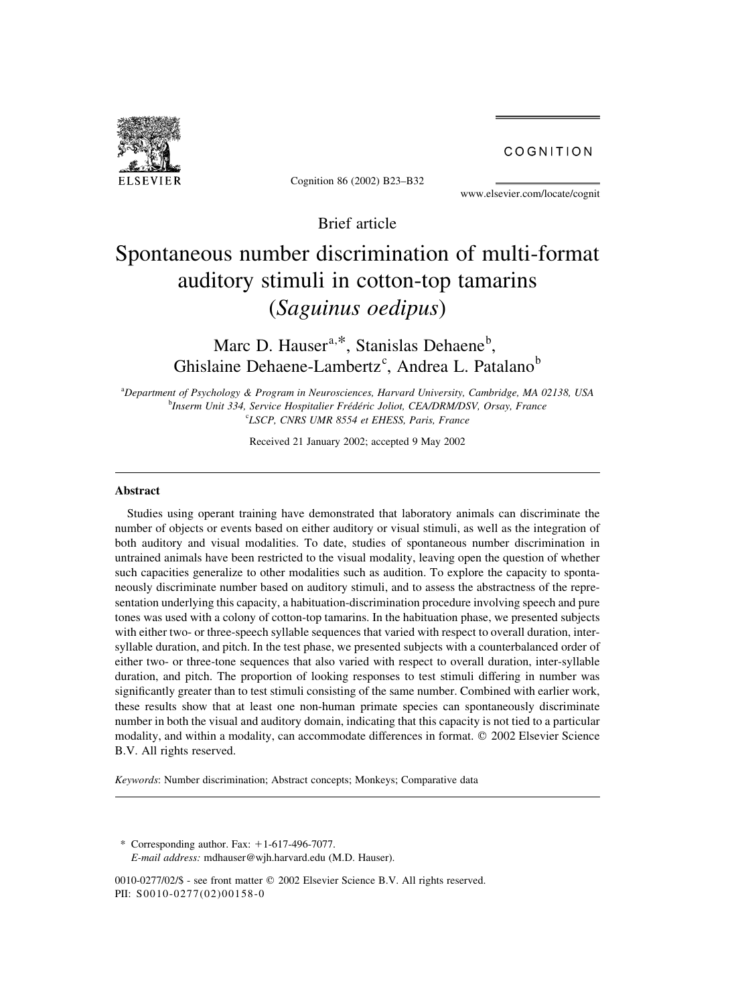COGNITION



Cognition 86 (2002) B23–B32

M.D. Hauser et al. / Cognition 86 (2002) B23–B32 B23

www.elsevier.com/locate/cognit

Brief article

# Spontaneous number discrimination of multi-format auditory stimuli in cotton-top tamarins (Saguinus oedipus)

Marc D. Hauser<sup>a,\*</sup>, Stanislas Dehaene<sup>b</sup>, Ghislaine Dehaene-Lambertz<sup>c</sup>, Andrea L. Patalano<sup>b</sup>

a Department of Psychology & Program in Neurosciences, Harvard University, Cambridge, MA 02138, USA <sup>b</sup>Inserm Unit 334, Service Hospitalier Frédéric Joliot, CEA/DRM/DSV, Orsay, France c LSCP, CNRS UMR 8554 et EHESS, Paris, France

Received 21 January 2002; accepted 9 May 2002

## Abstract

Studies using operant training have demonstrated that laboratory animals can discriminate the number of objects or events based on either auditory or visual stimuli, as well as the integration of both auditory and visual modalities. To date, studies of spontaneous number discrimination in untrained animals have been restricted to the visual modality, leaving open the question of whether such capacities generalize to other modalities such as audition. To explore the capacity to spontaneously discriminate number based on auditory stimuli, and to assess the abstractness of the representation underlying this capacity, a habituation-discrimination procedure involving speech and pure tones was used with a colony of cotton-top tamarins. In the habituation phase, we presented subjects with either two- or three-speech syllable sequences that varied with respect to overall duration, intersyllable duration, and pitch. In the test phase, we presented subjects with a counterbalanced order of either two- or three-tone sequences that also varied with respect to overall duration, inter-syllable duration, and pitch. The proportion of looking responses to test stimuli differing in number was significantly greater than to test stimuli consisting of the same number. Combined with earlier work, these results show that at least one non-human primate species can spontaneously discriminate number in both the visual and auditory domain, indicating that this capacity is not tied to a particular modality, and within a modality, can accommodate differences in format.  $© 2002$  Elsevier Science B.V. All rights reserved.

Keywords: Number discrimination; Abstract concepts; Monkeys; Comparative data

\* Corresponding author. Fax:  $+1-617-496-7077$ . E-mail address: mdhauser@wjh.harvard.edu (M.D. Hauser).

0010-0277/02/\$ - see front matter © 2002 Elsevier Science B.V. All rights reserved. PII: S0010-0277(02)00158-0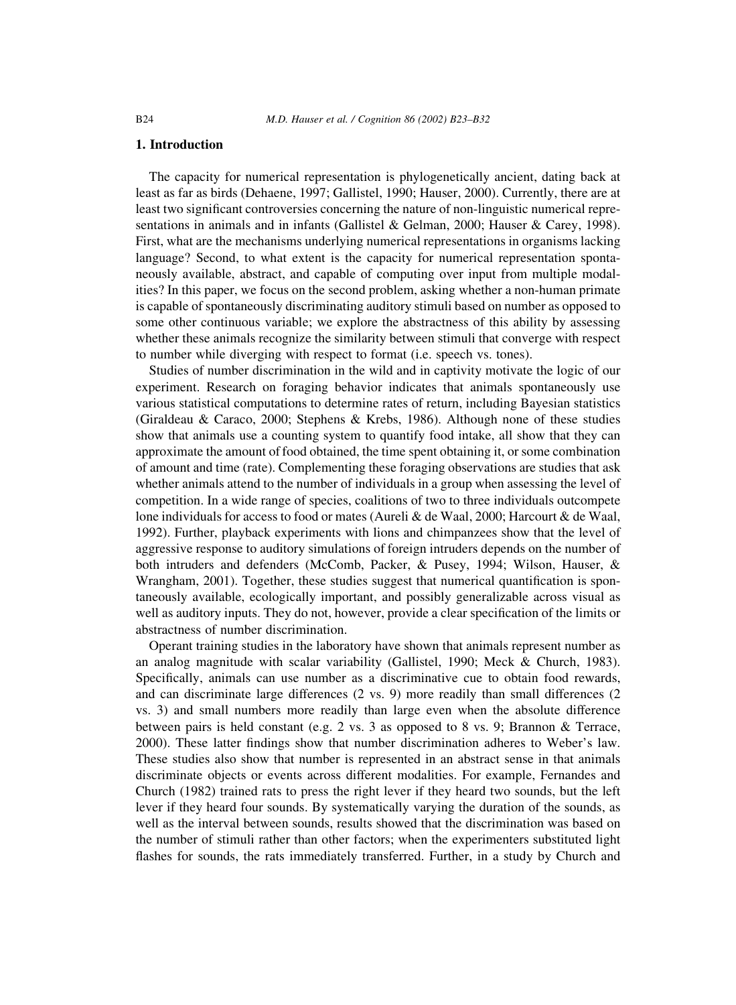## 1. Introduction

The capacity for numerical representation is phylogenetically ancient, dating back at least as far as birds (Dehaene, 1997; Gallistel, 1990; Hauser, 2000). Currently, there are at least two significant controversies concerning the nature of non-linguistic numerical representations in animals and in infants (Gallistel & Gelman, 2000; Hauser & Carey, 1998). First, what are the mechanisms underlying numerical representations in organisms lacking language? Second, to what extent is the capacity for numerical representation spontaneously available, abstract, and capable of computing over input from multiple modalities? In this paper, we focus on the second problem, asking whether a non-human primate is capable of spontaneously discriminating auditory stimuli based on number as opposed to some other continuous variable; we explore the abstractness of this ability by assessing whether these animals recognize the similarity between stimuli that converge with respect to number while diverging with respect to format (i.e. speech vs. tones).

Studies of number discrimination in the wild and in captivity motivate the logic of our experiment. Research on foraging behavior indicates that animals spontaneously use various statistical computations to determine rates of return, including Bayesian statistics (Giraldeau & Caraco, 2000; Stephens & Krebs, 1986). Although none of these studies show that animals use a counting system to quantify food intake, all show that they can approximate the amount of food obtained, the time spent obtaining it, or some combination of amount and time (rate). Complementing these foraging observations are studies that ask whether animals attend to the number of individuals in a group when assessing the level of competition. In a wide range of species, coalitions of two to three individuals outcompete lone individuals for access to food or mates (Aureli & de Waal, 2000; Harcourt & de Waal, 1992). Further, playback experiments with lions and chimpanzees show that the level of aggressive response to auditory simulations of foreign intruders depends on the number of both intruders and defenders (McComb, Packer, & Pusey, 1994; Wilson, Hauser, & Wrangham, 2001). Together, these studies suggest that numerical quantification is spontaneously available, ecologically important, and possibly generalizable across visual as well as auditory inputs. They do not, however, provide a clear specification of the limits or abstractness of number discrimination.

Operant training studies in the laboratory have shown that animals represent number as an analog magnitude with scalar variability (Gallistel, 1990; Meck & Church, 1983). Specifically, animals can use number as a discriminative cue to obtain food rewards, and can discriminate large differences (2 vs. 9) more readily than small differences (2 vs. 3) and small numbers more readily than large even when the absolute difference between pairs is held constant (e.g. 2 vs. 3 as opposed to 8 vs. 9; Brannon & Terrace, 2000). These latter findings show that number discrimination adheres to Weber's law. These studies also show that number is represented in an abstract sense in that animals discriminate objects or events across different modalities. For example, Fernandes and Church (1982) trained rats to press the right lever if they heard two sounds, but the left lever if they heard four sounds. By systematically varying the duration of the sounds, as well as the interval between sounds, results showed that the discrimination was based on the number of stimuli rather than other factors; when the experimenters substituted light flashes for sounds, the rats immediately transferred. Further, in a study by Church and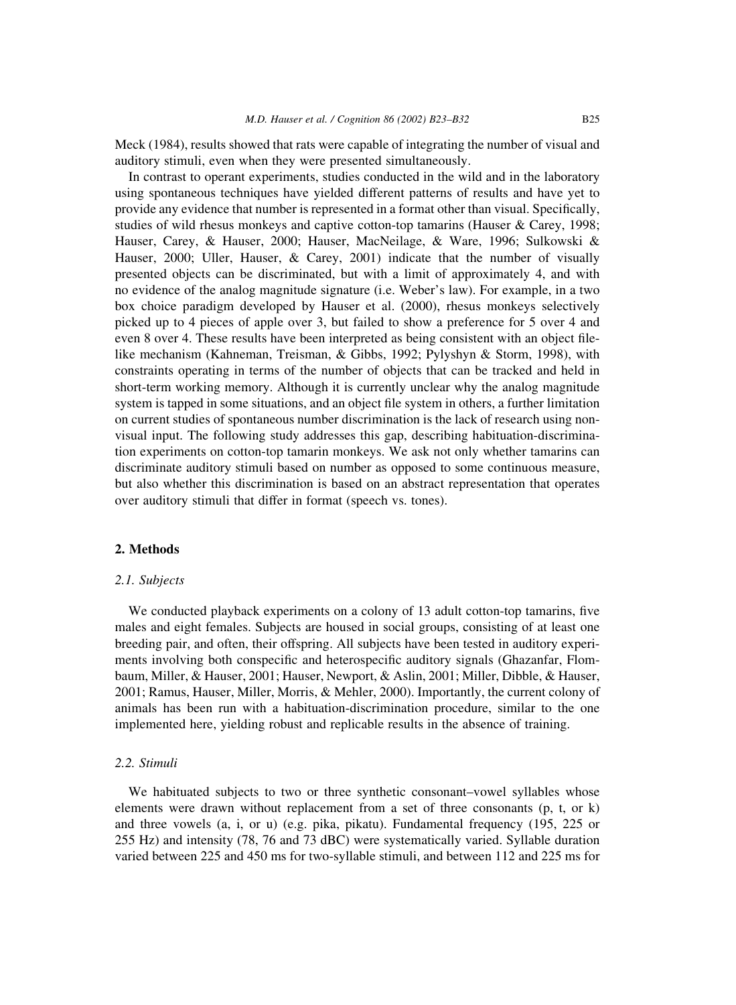Meck (1984), results showed that rats were capable of integrating the number of visual and auditory stimuli, even when they were presented simultaneously.

In contrast to operant experiments, studies conducted in the wild and in the laboratory using spontaneous techniques have yielded different patterns of results and have yet to provide any evidence that number is represented in a format other than visual. Specifically, studies of wild rhesus monkeys and captive cotton-top tamarins (Hauser & Carey, 1998; Hauser, Carey, & Hauser, 2000; Hauser, MacNeilage, & Ware, 1996; Sulkowski & Hauser, 2000; Uller, Hauser, & Carey, 2001) indicate that the number of visually presented objects can be discriminated, but with a limit of approximately 4, and with no evidence of the analog magnitude signature (i.e. Weber's law). For example, in a two box choice paradigm developed by Hauser et al. (2000), rhesus monkeys selectively picked up to 4 pieces of apple over 3, but failed to show a preference for 5 over 4 and even 8 over 4. These results have been interpreted as being consistent with an object filelike mechanism (Kahneman, Treisman, & Gibbs, 1992; Pylyshyn & Storm, 1998), with constraints operating in terms of the number of objects that can be tracked and held in short-term working memory. Although it is currently unclear why the analog magnitude system is tapped in some situations, and an object file system in others, a further limitation on current studies of spontaneous number discrimination is the lack of research using nonvisual input. The following study addresses this gap, describing habituation-discrimination experiments on cotton-top tamarin monkeys. We ask not only whether tamarins can discriminate auditory stimuli based on number as opposed to some continuous measure, but also whether this discrimination is based on an abstract representation that operates over auditory stimuli that differ in format (speech vs. tones).

## 2. Methods

#### 2.1. Subjects

We conducted playback experiments on a colony of 13 adult cotton-top tamarins, five males and eight females. Subjects are housed in social groups, consisting of at least one breeding pair, and often, their offspring. All subjects have been tested in auditory experiments involving both conspecific and heterospecific auditory signals (Ghazanfar, Flombaum, Miller, & Hauser, 2001; Hauser, Newport, & Aslin, 2001; Miller, Dibble, & Hauser, 2001; Ramus, Hauser, Miller, Morris, & Mehler, 2000). Importantly, the current colony of animals has been run with a habituation-discrimination procedure, similar to the one implemented here, yielding robust and replicable results in the absence of training.

# 2.2. Stimuli

We habituated subjects to two or three synthetic consonant–vowel syllables whose elements were drawn without replacement from a set of three consonants (p, t, or k) and three vowels (a, i, or u) (e.g. pika, pikatu). Fundamental frequency (195, 225 or 255 Hz) and intensity (78, 76 and 73 dBC) were systematically varied. Syllable duration varied between 225 and 450 ms for two-syllable stimuli, and between 112 and 225 ms for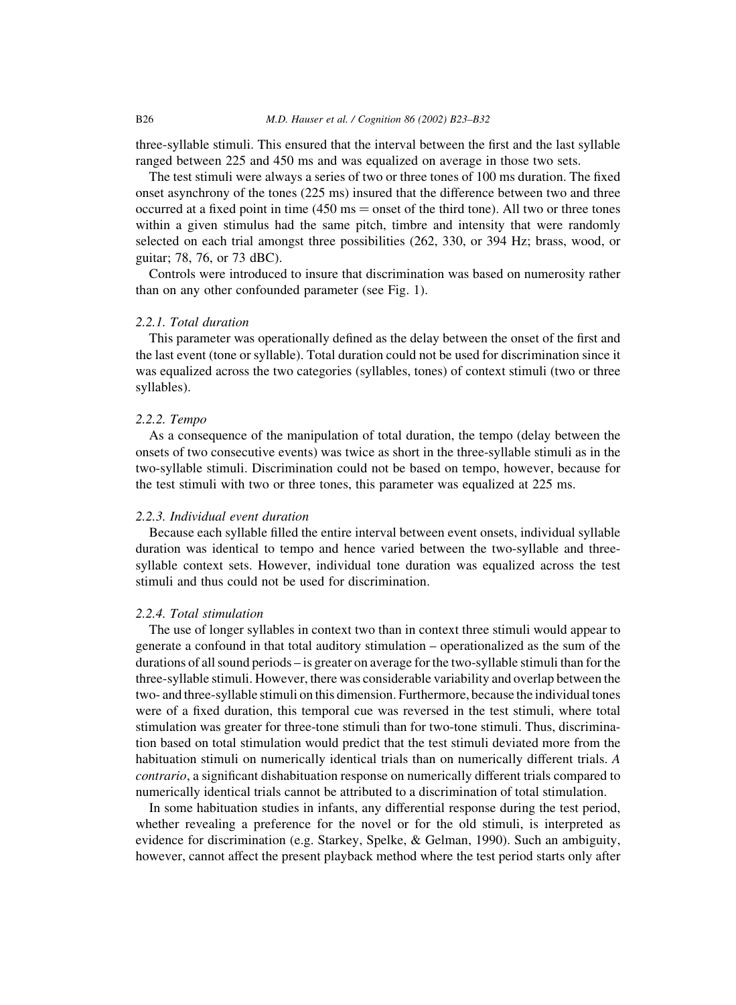three-syllable stimuli. This ensured that the interval between the first and the last syllable ranged between 225 and 450 ms and was equalized on average in those two sets.

The test stimuli were always a series of two or three tones of 100 ms duration. The fixed onset asynchrony of the tones (225 ms) insured that the difference between two and three occurred at a fixed point in time  $(450 \text{ ms} = \text{onset of the third tone})$ . All two or three tones within a given stimulus had the same pitch, timbre and intensity that were randomly selected on each trial amongst three possibilities (262, 330, or 394 Hz; brass, wood, or guitar; 78, 76, or 73 dBC).

Controls were introduced to insure that discrimination was based on numerosity rather than on any other confounded parameter (see Fig. 1).

### 2.2.1. Total duration

This parameter was operationally defined as the delay between the onset of the first and the last event (tone or syllable). Total duration could not be used for discrimination since it was equalized across the two categories (syllables, tones) of context stimuli (two or three syllables).

#### 2.2.2. Tempo

As a consequence of the manipulation of total duration, the tempo (delay between the onsets of two consecutive events) was twice as short in the three-syllable stimuli as in the two-syllable stimuli. Discrimination could not be based on tempo, however, because for the test stimuli with two or three tones, this parameter was equalized at 225 ms.

### 2.2.3. Individual event duration

Because each syllable filled the entire interval between event onsets, individual syllable duration was identical to tempo and hence varied between the two-syllable and threesyllable context sets. However, individual tone duration was equalized across the test stimuli and thus could not be used for discrimination.

#### 2.2.4. Total stimulation

The use of longer syllables in context two than in context three stimuli would appear to generate a confound in that total auditory stimulation – operationalized as the sum of the durations of all sound periods – is greater on average for the two-syllable stimuli than for the three-syllable stimuli. However, there was considerable variability and overlap between the two- and three-syllable stimuli on this dimension. Furthermore, because the individual tones were of a fixed duration, this temporal cue was reversed in the test stimuli, where total stimulation was greater for three-tone stimuli than for two-tone stimuli. Thus, discrimination based on total stimulation would predict that the test stimuli deviated more from the habituation stimuli on numerically identical trials than on numerically different trials. A contrario, a significant dishabituation response on numerically different trials compared to numerically identical trials cannot be attributed to a discrimination of total stimulation.

In some habituation studies in infants, any differential response during the test period, whether revealing a preference for the novel or for the old stimuli, is interpreted as evidence for discrimination (e.g. Starkey, Spelke, & Gelman, 1990). Such an ambiguity, however, cannot affect the present playback method where the test period starts only after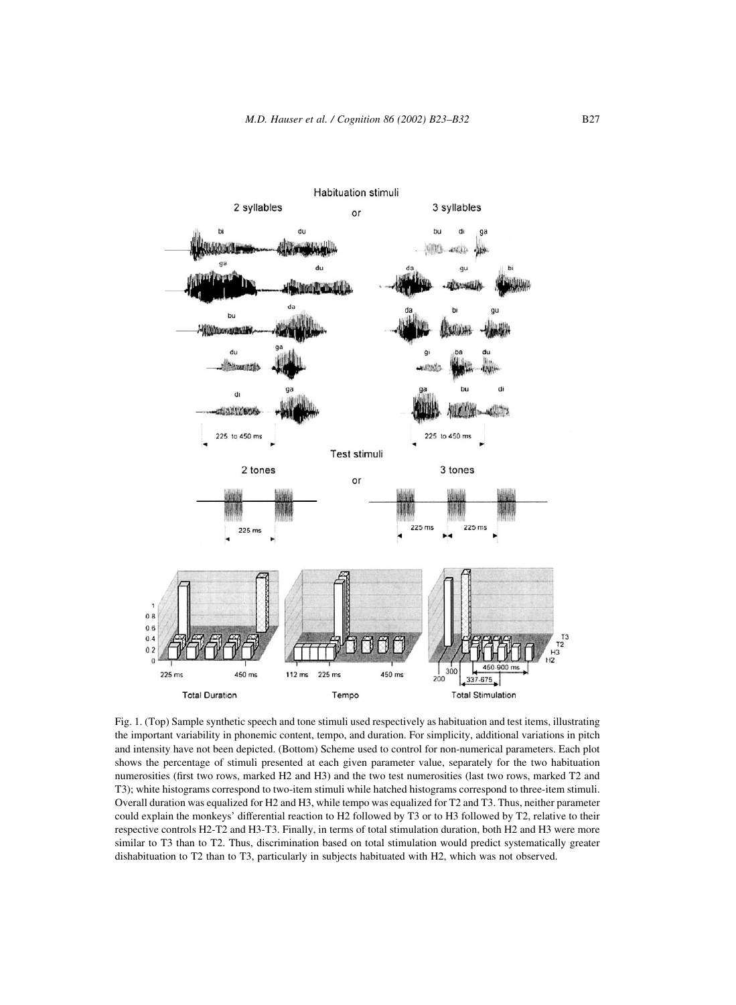

Fig. 1. (Top) Sample synthetic speech and tone stimuli used respectively as habituation and test items, illustrating the important variability in phonemic content, tempo, and duration. For simplicity, additional variations in pitch and intensity have not been depicted. (Bottom) Scheme used to control for non-numerical parameters. Each plot shows the percentage of stimuli presented at each given parameter value, separately for the two habituation numerosities (first two rows, marked H2 and H3) and the two test numerosities (last two rows, marked T2 and T3); white histograms correspond to two-item stimuli while hatched histograms correspond to three-item stimuli. Overall duration was equalized for H2 and H3, while tempo was equalized for T2 and T3. Thus, neither parameter could explain the monkeys' differential reaction to H2 followed by T3 or to H3 followed by T2, relative to their respective controls H2-T2 and H3-T3. Finally, in terms of total stimulation duration, both H2 and H3 were more similar to T3 than to T2. Thus, discrimination based on total stimulation would predict systematically greater dishabituation to T2 than to T3, particularly in subjects habituated with H2, which was not observed.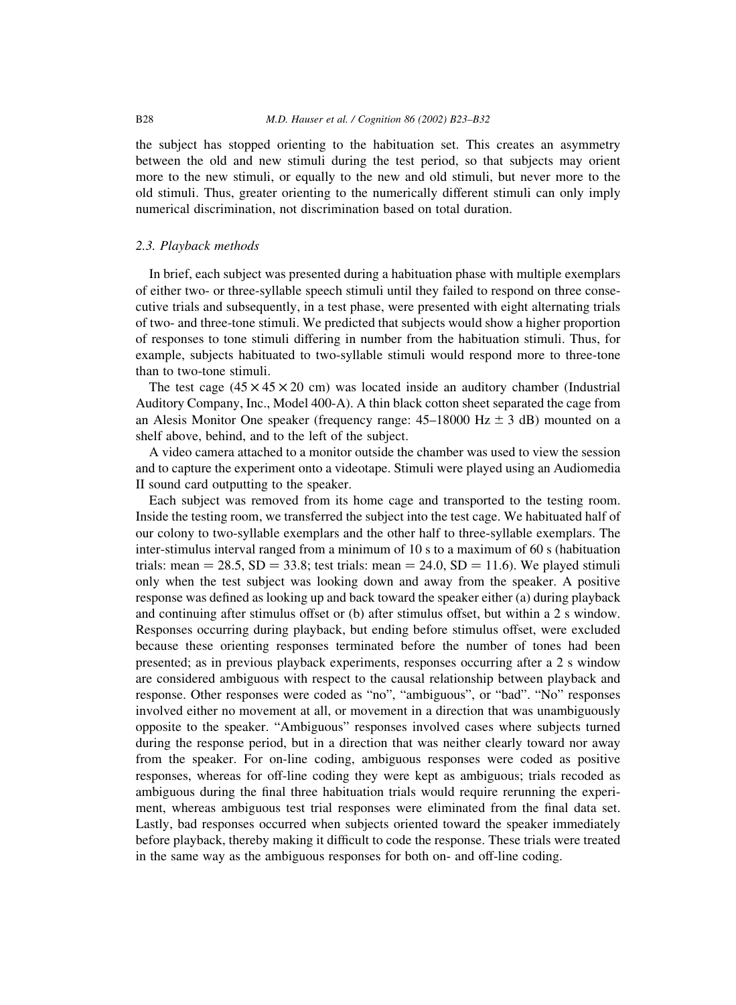the subject has stopped orienting to the habituation set. This creates an asymmetry between the old and new stimuli during the test period, so that subjects may orient more to the new stimuli, or equally to the new and old stimuli, but never more to the old stimuli. Thus, greater orienting to the numerically different stimuli can only imply numerical discrimination, not discrimination based on total duration.

## 2.3. Playback methods

In brief, each subject was presented during a habituation phase with multiple exemplars of either two- or three-syllable speech stimuli until they failed to respond on three consecutive trials and subsequently, in a test phase, were presented with eight alternating trials of two- and three-tone stimuli. We predicted that subjects would show a higher proportion of responses to tone stimuli differing in number from the habituation stimuli. Thus, for example, subjects habituated to two-syllable stimuli would respond more to three-tone than to two-tone stimuli.

The test cage  $(45 \times 45 \times 20 \text{ cm})$  was located inside an auditory chamber (Industrial Auditory Company, Inc., Model 400-A). A thin black cotton sheet separated the cage from an Alesis Monitor One speaker (frequency range:  $45{\text -}18000 \text{ Hz} \pm 3 \text{ dB}$ ) mounted on a shelf above, behind, and to the left of the subject.

A video camera attached to a monitor outside the chamber was used to view the session and to capture the experiment onto a videotape. Stimuli were played using an Audiomedia II sound card outputting to the speaker.

Each subject was removed from its home cage and transported to the testing room. Inside the testing room, we transferred the subject into the test cage. We habituated half of our colony to two-syllable exemplars and the other half to three-syllable exemplars. The inter-stimulus interval ranged from a minimum of 10 s to a maximum of 60 s (habituation trials: mean  $= 28.5$ , SD  $= 33.8$ ; test trials: mean  $= 24.0$ , SD  $= 11.6$ ). We played stimuli only when the test subject was looking down and away from the speaker. A positive response was defined as looking up and back toward the speaker either (a) during playback and continuing after stimulus offset or (b) after stimulus offset, but within a 2 s window. Responses occurring during playback, but ending before stimulus offset, were excluded because these orienting responses terminated before the number of tones had been presented; as in previous playback experiments, responses occurring after a 2 s window are considered ambiguous with respect to the causal relationship between playback and response. Other responses were coded as "no", "ambiguous", or "bad". "No" responses involved either no movement at all, or movement in a direction that was unambiguously opposite to the speaker. "Ambiguous" responses involved cases where subjects turned during the response period, but in a direction that was neither clearly toward nor away from the speaker. For on-line coding, ambiguous responses were coded as positive responses, whereas for off-line coding they were kept as ambiguous; trials recoded as ambiguous during the final three habituation trials would require rerunning the experiment, whereas ambiguous test trial responses were eliminated from the final data set. Lastly, bad responses occurred when subjects oriented toward the speaker immediately before playback, thereby making it difficult to code the response. These trials were treated in the same way as the ambiguous responses for both on- and off-line coding.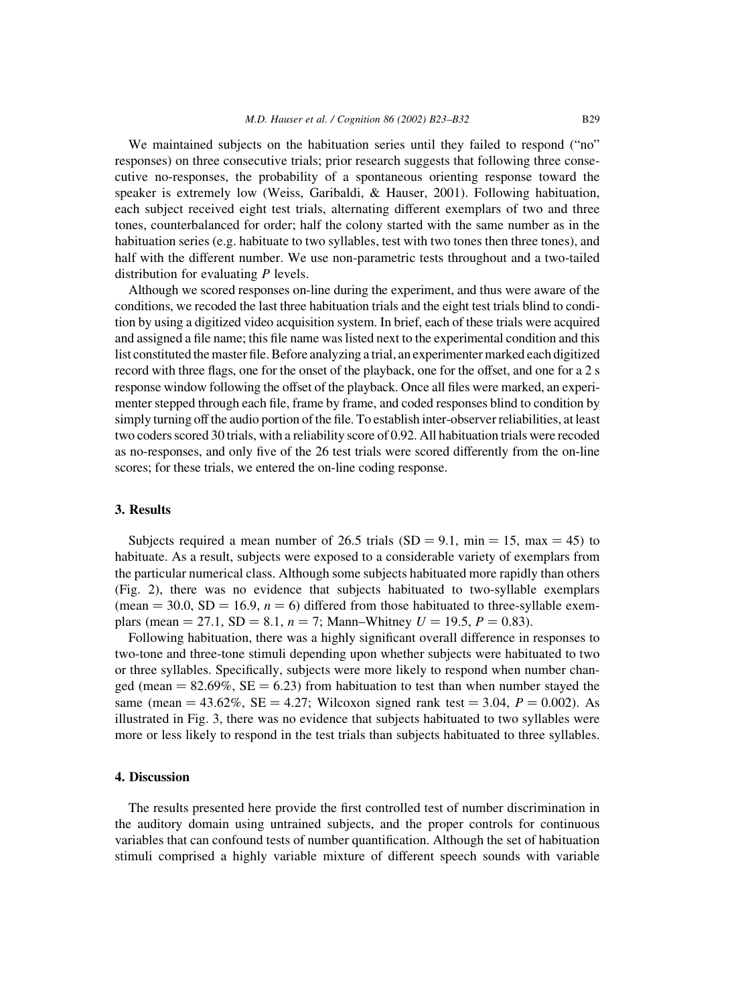We maintained subjects on the habituation series until they failed to respond ("no" responses) on three consecutive trials; prior research suggests that following three consecutive no-responses, the probability of a spontaneous orienting response toward the speaker is extremely low (Weiss, Garibaldi, & Hauser, 2001). Following habituation, each subject received eight test trials, alternating different exemplars of two and three tones, counterbalanced for order; half the colony started with the same number as in the habituation series (e.g. habituate to two syllables, test with two tones then three tones), and half with the different number. We use non-parametric tests throughout and a two-tailed distribution for evaluating  $P$  levels.

Although we scored responses on-line during the experiment, and thus were aware of the conditions, we recoded the last three habituation trials and the eight test trials blind to condition by using a digitized video acquisition system. In brief, each of these trials were acquired and assigned a file name; this file name was listed next to the experimental condition and this list constituted the master file. Before analyzing a trial, an experimenter marked each digitized record with three flags, one for the onset of the playback, one for the offset, and one for a 2 s response window following the offset of the playback. Once all files were marked, an experimenter stepped through each file, frame by frame, and coded responses blind to condition by simply turning off the audio portion of the file. To establish inter-observer reliabilities, at least two coders scored 30 trials, with a reliability score of 0.92. All habituation trials were recoded as no-responses, and only five of the 26 test trials were scored differently from the on-line scores; for these trials, we entered the on-line coding response.

## 3. Results

Subjects required a mean number of 26.5 trials  $(SD = 9.1, \text{ min} = 15, \text{ max} = 45)$  to habituate. As a result, subjects were exposed to a considerable variety of exemplars from the particular numerical class. Although some subjects habituated more rapidly than others (Fig. 2), there was no evidence that subjects habituated to two-syllable exemplars (mean  $=$  30.0, SD  $=$  16.9,  $n = 6$ ) differed from those habituated to three-syllable exemplars (mean = 27.1, SD = 8.1,  $n = 7$ ; Mann–Whitney  $U = 19.5$ ,  $P = 0.83$ ).

Following habituation, there was a highly significant overall difference in responses to two-tone and three-tone stimuli depending upon whether subjects were habituated to two or three syllables. Specifically, subjects were more likely to respond when number changed (mean  $= 82.69\%$ ,  $SE = 6.23$ ) from habituation to test than when number stayed the same (mean  $= 43.62\%$ , SE  $= 4.27$ ; Wilcoxon signed rank test  $= 3.04$ ,  $P = 0.002$ ). As illustrated in Fig. 3, there was no evidence that subjects habituated to two syllables were more or less likely to respond in the test trials than subjects habituated to three syllables.

### 4. Discussion

The results presented here provide the first controlled test of number discrimination in the auditory domain using untrained subjects, and the proper controls for continuous variables that can confound tests of number quantification. Although the set of habituation stimuli comprised a highly variable mixture of different speech sounds with variable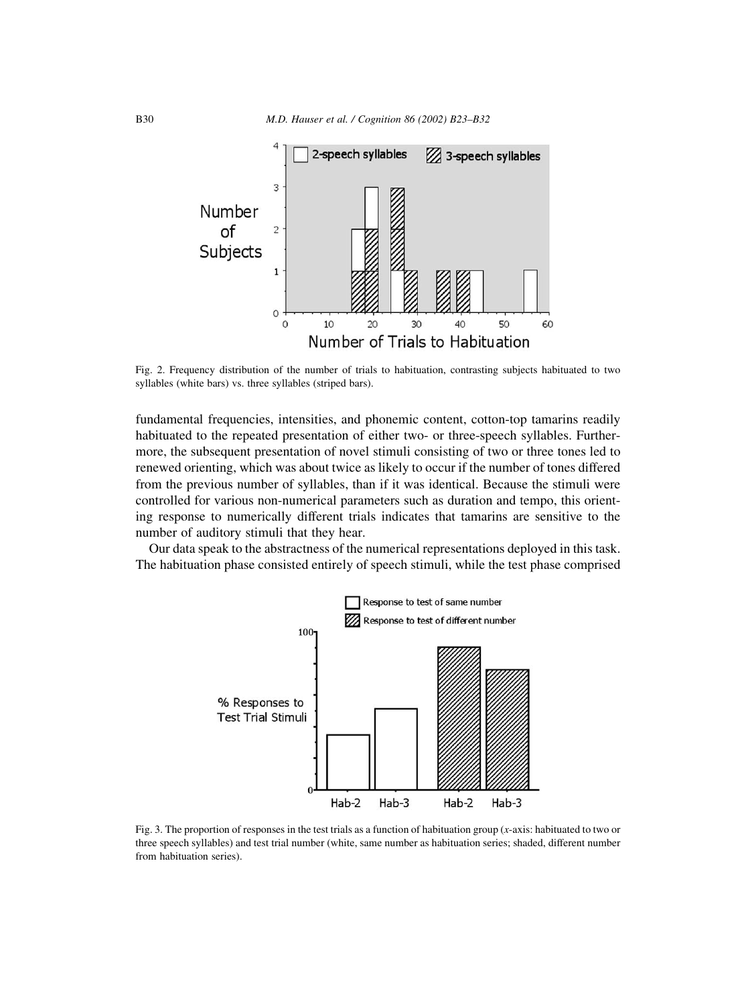

Fig. 2. Frequency distribution of the number of trials to habituation, contrasting subjects habituated to two syllables (white bars) vs. three syllables (striped bars).

fundamental frequencies, intensities, and phonemic content, cotton-top tamarins readily habituated to the repeated presentation of either two- or three-speech syllables. Furthermore, the subsequent presentation of novel stimuli consisting of two or three tones led to renewed orienting, which was about twice as likely to occur if the number of tones differed from the previous number of syllables, than if it was identical. Because the stimuli were controlled for various non-numerical parameters such as duration and tempo, this orienting response to numerically different trials indicates that tamarins are sensitive to the number of auditory stimuli that they hear.

Our data speak to the abstractness of the numerical representations deployed in this task. The habituation phase consisted entirely of speech stimuli, while the test phase comprised



Fig. 3. The proportion of responses in the test trials as a function of habituation group  $(x-axis)$ : habituated to two or three speech syllables) and test trial number (white, same number as habituation series; shaded, different number from habituation series).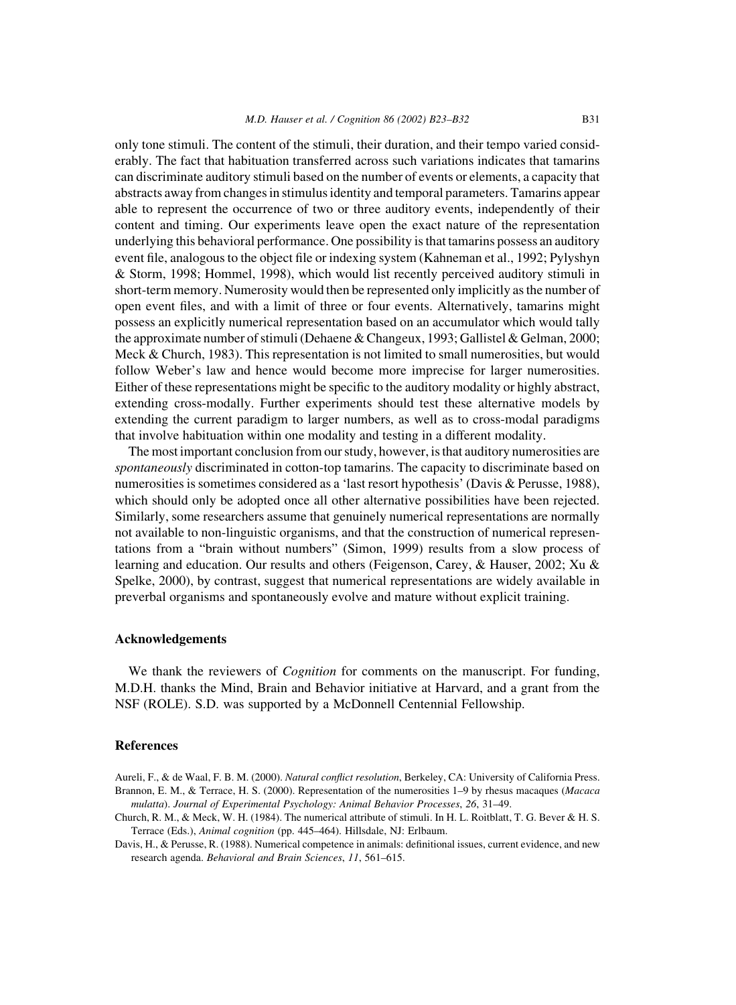only tone stimuli. The content of the stimuli, their duration, and their tempo varied considerably. The fact that habituation transferred across such variations indicates that tamarins can discriminate auditory stimuli based on the number of events or elements, a capacity that abstracts away from changes in stimulus identity and temporal parameters. Tamarins appear able to represent the occurrence of two or three auditory events, independently of their content and timing. Our experiments leave open the exact nature of the representation underlying this behavioral performance. One possibility is that tamarins possess an auditory event file, analogous to the object file or indexing system (Kahneman et al., 1992; Pylyshyn & Storm, 1998; Hommel, 1998), which would list recently perceived auditory stimuli in short-term memory. Numerosity would then be represented only implicitly as the number of open event files, and with a limit of three or four events. Alternatively, tamarins might possess an explicitly numerical representation based on an accumulator which would tally the approximate number of stimuli (Dehaene & Changeux, 1993; Gallistel & Gelman, 2000; Meck & Church, 1983). This representation is not limited to small numerosities, but would follow Weber's law and hence would become more imprecise for larger numerosities. Either of these representations might be specific to the auditory modality or highly abstract, extending cross-modally. Further experiments should test these alternative models by extending the current paradigm to larger numbers, as well as to cross-modal paradigms that involve habituation within one modality and testing in a different modality.

The most important conclusion from our study, however, is that auditory numerosities are spontaneously discriminated in cotton-top tamarins. The capacity to discriminate based on numerosities is sometimes considered as a 'last resort hypothesis' (Davis & Perusse, 1988), which should only be adopted once all other alternative possibilities have been rejected. Similarly, some researchers assume that genuinely numerical representations are normally not available to non-linguistic organisms, and that the construction of numerical representations from a "brain without numbers" (Simon, 1999) results from a slow process of learning and education. Our results and others (Feigenson, Carey, & Hauser, 2002; Xu & Spelke, 2000), by contrast, suggest that numerical representations are widely available in preverbal organisms and spontaneously evolve and mature without explicit training.

### Acknowledgements

We thank the reviewers of *Cognition* for comments on the manuscript. For funding, M.D.H. thanks the Mind, Brain and Behavior initiative at Harvard, and a grant from the NSF (ROLE). S.D. was supported by a McDonnell Centennial Fellowship.

#### References

Aureli, F., & de Waal, F. B. M. (2000). Natural conflict resolution, Berkeley, CA: University of California Press. Brannon, E. M., & Terrace, H. S. (2000). Representation of the numerosities 1–9 by rhesus macaques (Macaca mulatta). Journal of Experimental Psychology: Animal Behavior Processes, 26, 31–49.

Church, R. M., & Meck, W. H. (1984). The numerical attribute of stimuli. In H. L. Roitblatt, T. G. Bever & H. S. Terrace (Eds.), Animal cognition (pp. 445–464). Hillsdale, NJ: Erlbaum.

Davis, H., & Perusse, R. (1988). Numerical competence in animals: definitional issues, current evidence, and new research agenda. Behavioral and Brain Sciences, 11, 561–615.